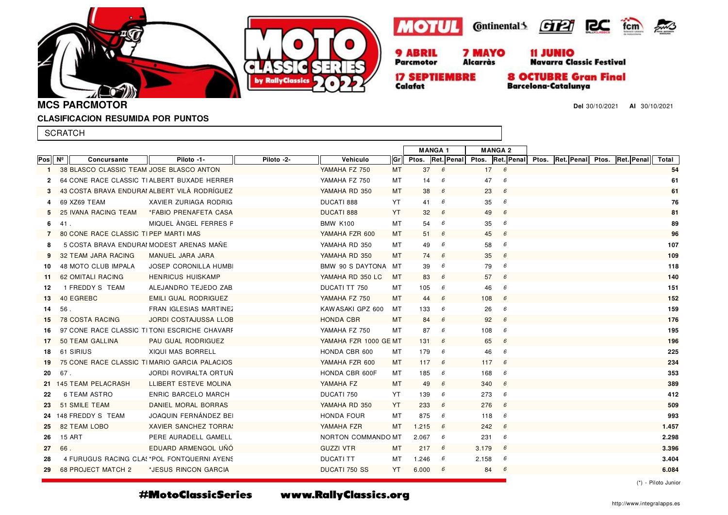









**17 SEPTIEMBRE** Calafat

**8 OCTUBRE Gran Final** 

**Barcelona-Catalunya** 

**Del** 30/10/2021 **Al** 30/10/2021

 $2000$ 

**MCS PARCMOTOR**

## **CLASIFICACION RESUMIDA POR PUNTOS**

|              | <b>SCRATCH</b>                               |                                              |            |                       |           |                                 |   |            |                                                                     |       |
|--------------|----------------------------------------------|----------------------------------------------|------------|-----------------------|-----------|---------------------------------|---|------------|---------------------------------------------------------------------|-------|
|              |                                              |                                              |            |                       |           | <b>MANGA1</b><br><b>MANGA 2</b> |   |            |                                                                     |       |
| Pos          | Nº<br>Concursante                            | Piloto -1-                                   | Piloto -2- | Vehiculo              | Gr        |                                 |   |            | Ptos. Ret. Penal Ptos. Ret. Penal Ptos. Ret. Penal Ptos. Ret. Penal | Total |
| $\mathbf{1}$ | 38 BLASCO CLASSIC TEAM JOSE BLASCO ANTON     |                                              |            | YAMAHA FZ 750         | MT        | 37                              | 6 | 17<br>6    |                                                                     | 54    |
| $\mathbf{2}$ | 64 CONE RACE CLASSIC TIALBERT BUXADE HERRER  |                                              |            | YAMAHA FZ 750         | МT        | 14                              | 6 | 47<br>6    |                                                                     | 61    |
|              | 43 COSTA BRAVA ENDURAI ALBERT VILÀ RODRÍGUEZ |                                              |            | YAMAHA RD 350         | МT        | 38                              | 6 | 23<br>6    |                                                                     | 61    |
| 4            | 69 XZ69 TEAM                                 | XAVIER ZURIAGA RODRIG                        |            | DUCATI 888            | YT        | 41                              | 6 | 35<br>6    |                                                                     | 76    |
| 5.           | 25 IVANA RACING TEAM                         | *FABIO PRENAFETA CASA                        |            | <b>DUCATI 888</b>     | YT        | 32                              | 6 | 49<br>6    |                                                                     | 81    |
| 6            | 41.                                          | MIQUEL ANGEL FERRES F                        |            | <b>BMW K100</b>       | MT        | 54                              | 6 | 35<br>6    |                                                                     | 89    |
|              | 80 CONE RACE CLASSIC TIPEP MARTI MAS         |                                              |            | YAMAHA FZR 600        | МT        | 51                              | 6 | 45<br>6    |                                                                     | 96    |
| 8            | 5 COSTA BRAVA ENDURAI MODEST ARENAS MANE     |                                              |            | YAMAHA RD 350         | MT        | 49                              | 6 | 58<br>6    |                                                                     | 107   |
| 9            | 32 TEAM JARA RACING                          | MANUEL JARA JARA                             |            | YAMAHA RD 350         | МT        | 74                              | 6 | 35<br>6    |                                                                     | 109   |
| 10           | <b>48 MOTO CLUB IMPALA</b>                   | <b>JOSEP CORONILLA HUMB</b>                  |            | BMW 90 S DAYTONA MT   |           | 39                              | 6 | 79<br>6    |                                                                     | 118   |
| 11.          | 62 OMITALI RACING                            | <b>HENRICUS HUISKAMP</b>                     |            | YAMAHA RD 350 LC      | MT        | 83                              | 6 | 57<br>6    |                                                                     | 140   |
| 12           | 1 FREDDY S TEAM                              | ALEJANDRO TEJEDO ZAB                         |            | DUCATI TT 750         | MT        | 105                             | 6 | 46<br>6    |                                                                     | 151   |
| 13           | 40 EGREBC                                    | <b>EMILI GUAL RODRIGUEZ</b>                  |            | YAMAHA FZ 750         | <b>MT</b> | 44                              | 6 | 108<br>6   |                                                                     | 152   |
| 14           | 56.                                          | FRAN IGLESIAS MARTINEZ                       |            | KAW ASAKI GPZ 600     | МT        | 133                             | 6 | 26<br>6    |                                                                     | 159   |
| 15           | <b>78 COSTA RACING</b>                       | <b>JORDI COSTAJUSSA LLOB</b>                 |            | <b>HONDA CBR</b>      | МT        | 84                              | 6 | 92<br>6    |                                                                     | 176   |
| 16           |                                              | 97 CONE RACE CLASSIC TITONI ESCRICHE CHAVARE |            | YAMAHA FZ 750         | MT        | 87                              | 6 | 108<br>6   |                                                                     | 195   |
| 17           | 50 TEAM GALLINA                              | PAU GUAL RODRIGUEZ                           |            | YAMAHA FZR 1000 GE MT |           | 131                             | 6 | 65<br>6    |                                                                     | 196   |
| 18           | 61 SIRIUS                                    | XIQUI MAS BORRELL                            |            | HONDA CBR 600         | МT        | 179                             | 6 | 46<br>6    |                                                                     | 225   |
| 19           | 75 CONE RACE CLASSIC TIMARIO GARCIA PALACIOS |                                              |            | YAMAHA FZR 600        | МT        | 117                             | 6 | 117<br>6   |                                                                     | 234   |
| 20           | 67.                                          | JORDI ROVIRALTA ORTUN                        |            | HONDA CBR 600F        | МT        | 185                             | 6 | 168<br>6   |                                                                     | 353   |
|              | 21 145 TEAM PELACRASH                        | LLIBERT ESTEVE MOLINA                        |            | YAMAHA FZ             | <b>MT</b> | 49                              | 6 | 340<br>6   |                                                                     | 389   |
| 22           | 6 TEAM ASTRO                                 | ENRIC BARCELO MARCH                          |            | DUCATI 750            | YT        | 139                             | 6 | 273<br>6   |                                                                     | 412   |
| 23           | 51 SMILE TEAM                                | DANIEL MORAL BORRAS                          |            | YAMAHA RD 350         | YT        | 233                             | 6 | 276<br>6   |                                                                     | 509   |
|              | 24 148 FREDDY S TEAM                         | JOAQUIN FERNÁNDEZ BEI                        |            | HONDA FOUR            | MT        | 875                             | 6 | 118<br>6   |                                                                     | 993   |
| 25           | <b>82 TEAM LOBO</b>                          | XAVIER SANCHEZ TORRA                         |            | YAMAHA FZR            | МT        | 1.215                           | 6 | 242<br>6   |                                                                     | 1.457 |
| 26           | <b>15 ART</b>                                | PERE AURADELL GAMELL                         |            | NORTON COMMANDO MT    |           | 2.067                           | 6 | 231<br>6   |                                                                     | 2.298 |
| 27           | 66.                                          | EDUARD ARMENGOL UNO                          |            | <b>GUZZI VTR</b>      | <b>MT</b> | 217                             | 6 | 3.179<br>6 |                                                                     | 3.396 |
| 28           |                                              | 4 FURUGUS RACING CLAS *POL FONTQUERNI AYENS  |            | <b>DUCATI TT</b>      | MТ        | 1.246                           | 6 | 2.158<br>6 |                                                                     | 3.404 |
| 29           | <b>68 PROJECT MATCH 2</b>                    | *JESUS RINCON GARCIA                         |            | <b>DUCATI 750 SS</b>  | YT        | 6.000                           | 6 | 84<br>- 6  |                                                                     | 6.084 |
|              |                                              |                                              |            |                       |           |                                 |   |            |                                                                     |       |

(\*) - Piloto Junior

#MotoClassicSeries

www.RallyClassics.org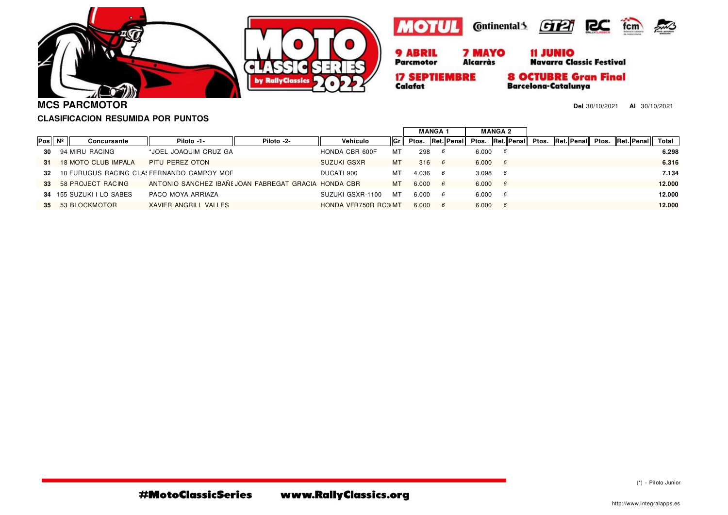







**17 SEPTIEMBRE** Calafat

**Alcarràs** 

**8 OCTUBRE Gran Final** 

**Barcelona-Catalunya** 

**Del** 30/10/2021 **Al** 30/10/2021

**CLASIFICACION RESUMIDA POR PUNTOS**

|     |                          |                                                      |            |                      |       | <b>MANGA1</b> |                  | <b>MANGA 2</b> |    |            |       |            |       |            |        |
|-----|--------------------------|------------------------------------------------------|------------|----------------------|-------|---------------|------------------|----------------|----|------------|-------|------------|-------|------------|--------|
| Pos | Concursante              | Piloto -1-                                           | Piloto -2- | Vehiculo             | l Grl |               | Ptos. Ret. Penal | Ptos.          |    | Ret. Penal | Ptos. | Ret. Penal | Ptos. | Ret. Penal | Total  |
| 30  | 94 MIRU RACING           | *JOEL JOAQUIM CRUZ GA                                |            | HONDA CBR 600F       | MT    | 298           | 6                | 6.000          |    |            |       |            |       |            | 6.298  |
| 31  | 18 MOTO CLUB IMPALA      | PITU PEREZ OTON                                      |            | <b>SUZUKI GSXR</b>   | MT    | 316           | 6                | 6.000          | 6  |            |       |            |       |            | 6.316  |
| 32  |                          | 10 FURUGUS RACING CLA! FERNANDO CAMPOY MOF           |            | DUCATI 900           | MТ    | 4.036         | 6                | 3.098          | 6  |            |       |            |       |            | 7.134  |
| 33  | 58 PROJECT RACING        | ANTONIO SANCHEZ IBAÑI JOAN FABREGAT GRACIA HONDA CBR |            |                      | МT    | 6.000         | 6                | 6.000          | -6 |            |       |            |       |            | 12.000 |
|     | 34 155 SUZUKI I LO SABES | PACO MOYA ARRIAZA                                    |            | SUZUKI GSXR-1100     | мт    | 6.000         | 6                | 6.000          | 6  |            |       |            |       |            | 12.000 |
| 35  | 53 BLOCKMOTOR            | <b>XAVIER ANGRILL VALLES</b>                         |            | HONDA VFR750R RC3 MT |       | 6.000         | 6                | 6.000          | 6  |            |       |            |       |            | 12.000 |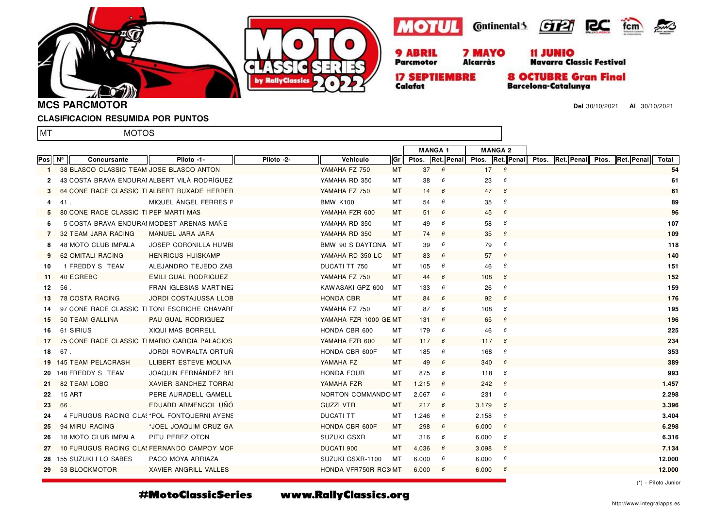







11 JUNIO<br>Navarra Classic Festival

**17 SEPTIEMBRE** Calafat

**8 OCTUBRE Gran Final** 

**Barcelona-Catalunya** 

**Del** 30/10/2021 **Al** 30/10/2021

**MCS PARCMOTOR**

## **CLASIFICACION RESUMIDA POR PUNTOS**

MOTOS

lmt

|              |     |                                          |                                              |            |                       |           | <b>MANGA1</b> |   | <b>MANGA 2</b> |              |                                                                            |  |        |    |
|--------------|-----|------------------------------------------|----------------------------------------------|------------|-----------------------|-----------|---------------|---|----------------|--------------|----------------------------------------------------------------------------|--|--------|----|
| Posl         | Nº  | Concursante                              | Piloto -1-                                   | Piloto -2- | Vehiculo              | Gr        |               |   |                |              | <b>Ptos. Ret. Penal Ptos. Ret. Penal Ptos. Ret. Penal Ptos. Ret. Penal</b> |  | Total  |    |
| $\mathbf{1}$ |     | 38 BLASCO CLASSIC TEAM JOSE BLASCO ANTON |                                              |            | YAMAHA FZ 750         | МT        | 37            | 6 |                | $17 \quad 6$ |                                                                            |  | 54     |    |
| $\mathbf{2}$ |     |                                          | 43 COSTA BRAVA ENDURAI ALBERT VILÀ RODRÍGUEZ |            | YAMAHA RD 350         | МT        | 38            | 6 | 23             | 6            |                                                                            |  | 61     |    |
| 3            |     |                                          | 64 CONE RACE CLASSIC TIALBERT BUXADE HERRER  |            | YAMAHA FZ 750         | МT        | 14            | 6 | 47             | 6            |                                                                            |  |        | 61 |
| 4            | 41. |                                          | MIQUEL ÀNGEL FERRES F                        |            | <b>BMW K100</b>       | MT        | 54            | 6 | 35             | 6            |                                                                            |  |        | 89 |
|              |     | 80 CONE RACE CLASSIC TIPEP MARTI MAS     |                                              |            | YAMAHA FZR 600        | MT        | 51            | 6 | 45             | 6            |                                                                            |  | 96     |    |
| 6            |     | 5 COSTA BRAVA ENDURAI MODEST ARENAS MANE |                                              |            | YAMAHA RD 350         | MT        | 49            | 6 | 58             | 6            |                                                                            |  | 107    |    |
| 7            |     | 32 TEAM JARA RACING                      | MANUEL JARA JARA                             |            | YAMAHA RD 350         | MT        | 74            | 6 | 35             | 6            |                                                                            |  | 109    |    |
| 8            |     | 48 MOTO CLUB IMPALA                      | JOSEP CORONILLA HUMB                         |            | BMW 90 S DAYTONA MT   |           | 39            | 6 | 79             | 6            |                                                                            |  | 118    |    |
|              |     | 62 OMITALI RACING                        | <b>HENRICUS HUISKAMP</b>                     |            | YAMAHA RD 350 LC      | MT        | 83            | 6 | 57             | 6            |                                                                            |  | 140    |    |
| 10           |     | 1 FREDDY S TEAM                          | ALEJANDRO TEJEDO ZAB                         |            | DUCATI TT 750         | МT        | 105           | 6 | 46             | 6            |                                                                            |  | 151    |    |
| 11           |     | 40 EGREBC                                | EMILI GUAL RODRIGUEZ                         |            | YAMAHA FZ 750         | <b>MT</b> | 44            | 6 | 108            | 6            |                                                                            |  | 152    |    |
| 12           | 56. |                                          | FRAN IGLESIAS MARTINEZ                       |            | KAW ASAKI GPZ 600     | МT        | 133           | 6 | 26             | 6            |                                                                            |  | 159    |    |
| 13           |     | <b>78 COSTA RACING</b>                   | JORDI COSTAJUSSA LLOB                        |            | <b>HONDA CBR</b>      | МT        | 84            | 6 | 92             | 6            |                                                                            |  | 176    |    |
| 14           |     |                                          | 97 CONE RACE CLASSIC TITONI ESCRICHE CHAVARE |            | YAMAHA FZ 750         | МT        | 87            | 6 | 108            | 6            |                                                                            |  | 195    |    |
| 15           |     | 50 TEAM GALLINA                          | PAU GUAL RODRIGUEZ                           |            | YAMAHA FZR 1000 GE MT |           | 131           | 6 | 65             | 6            |                                                                            |  | 196    |    |
| 16           |     | 61 SIRIUS                                | XIQUI MAS BORRELL                            |            | HONDA CBR 600         | МT        | 179           | 6 | 46             | 6            |                                                                            |  | 225    |    |
| 17           |     |                                          | 75 CONE RACE CLASSIC TIMARIO GARCIA PALACIOS |            | YAMAHA FZR 600        | MT        | 117           | 6 | 117            | 6            |                                                                            |  | 234    |    |
| 18           | 67. |                                          | JORDI ROVIRALTA ORTUN                        |            | HONDA CBR 600F        | МT        | 185           | 6 | 168            | 6            |                                                                            |  | 353    |    |
|              |     | 19 145 TEAM PELACRASH                    | LLIBERT ESTEVE MOLINA                        |            | YAMAHA FZ             | МT        | 49            | 6 | 340            | 6            |                                                                            |  | 389    |    |
|              |     | 20 148 FREDDY S TEAM                     | JOAQUIN FERNÁNDEZ BEI                        |            | <b>HONDA FOUR</b>     | МT        | 875           | 6 | 118            | 6            |                                                                            |  | 993    |    |
| -21          |     | <b>82 TEAM LOBO</b>                      | XAVIER SANCHEZ TORRA!                        |            | YAMAHA FZR            | МT        | 1.215         | 6 | 242            | 6            |                                                                            |  | 1.457  |    |
| 22           |     | 15 ART                                   | PERE AURADELL GAMELL                         |            | NORTON COMMANDO MT    |           | 2.067         | 6 | 231            | 6            |                                                                            |  | 2.298  |    |
| 23           | 66. |                                          | EDUARD ARMENGOL UNO                          |            | <b>GUZZI VTR</b>      | МT        | 217           | 6 | 3.179          | 6            |                                                                            |  | 3.396  |    |
| 24           |     |                                          | 4 FURUGUS RACING CLA! *POL FONTQUERNI AYEN!  |            | <b>DUCATI TT</b>      | МT        | 1.246         | 6 | 2.158          | 6            |                                                                            |  | 3.404  |    |
| 25           |     | 94 MIRU RACING                           | *JOEL JOAQUIM CRUZ GA                        |            | HONDA CBR 600F        | МT        | 298           | 6 | 6.000          | 6            |                                                                            |  | 6.298  |    |
| 26           |     | 18 MOTO CLUB IMPALA                      | PITU PEREZ OTON                              |            | SUZUKI GSXR           | МT        | 316           | 6 | 6.000          | 6            |                                                                            |  | 6.316  |    |
| 27           |     |                                          | 10 FURUGUS RACING CLA FERNANDO CAMPOY MOF    |            | DUCATI 900            | MT        | 4.036         | 6 | 3.098          | 6            |                                                                            |  | 7.134  |    |
|              |     | 28 155 SUZUKI I LO SABES                 | PACO MOYA ARRIAZA                            |            | SUZUKI GSXR-1100      | МT        | 6.000         | 6 | 6.000          | 6            |                                                                            |  | 12.000 |    |
| 29           |     | 53 BLOCKMOTOR                            | XAVIER ANGRILL VALLES                        |            | HONDA VFR750R RC3 MT  |           | 6.000         | 6 | 6.000          | 6            |                                                                            |  | 12.000 |    |
|              |     |                                          |                                              |            |                       |           |               |   |                |              |                                                                            |  |        |    |

(\*) - Piloto Junior

#MotoClassicSeries

www.RallyClassics.org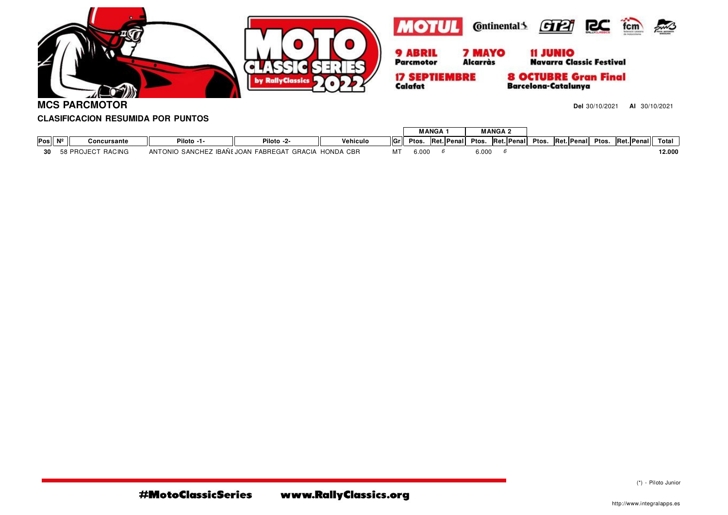

**MCS PARCMOTOR**

**Del** 30/10/2021 **Al** 30/10/2021

## **CLASIFICACION RESUMIDA POR PUNTOS**

|     |                 |                      |                                            |                                          |           |       | <b>MANGA</b> |         |                 |       | <b>MANGA 2</b> |            |       |            |       |            |        |
|-----|-----------------|----------------------|--------------------------------------------|------------------------------------------|-----------|-------|--------------|---------|-----------------|-------|----------------|------------|-------|------------|-------|------------|--------|
| Pos | NI <sup>o</sup> | Concursante          | Piloto -1-                                 | Piloto -2-                               | Vehiculo  | llGr⊥ | Ptos.        | IRet.II | <b>Penal∥</b> . | Ptos. |                | Ret. Penal | Ptos. | Ret. Penal | Ptos. | Ret. Penal | Total  |
|     |                 | RACING<br>58 PROJECT | <b>IBANE.</b><br><b>ANTONIO</b><br>SANCHEZ | <b>FABREGAT</b><br>GRACIA<br><b>IOAN</b> | HONDA CBR | МТ    | 6.00(        |         |                 | 6.000 |                |            |       |            |       |            | 12.000 |